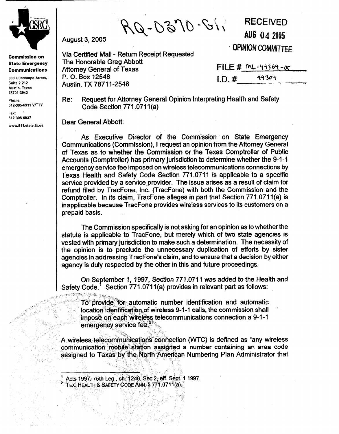

**Commission on State Emergency Communications** 

**333 Guadalupe Street, Suite 2-212 4ustin, Texas 78701-3942** 

**'hone: 512-305-6911 V/TTY** 

**-ax: ' 512-305-6937** 

**mvw.9ll.stata.tx.us** 

 $e^{\epsilon \mathcal{L}^{\text{max}}_{\text{max}}}$ 

 $\mathbb{R}^+$  .

;' ,I\_

\_.-

 $112 - 0160 - 01$ 

Via Certified Mail - Return Receipt Requested The Honorable Greg Abbott Attorney General of Texas P. 0. Box 12548 Austin, TX 78711-2548

**RECEIVED**  AUG 04 2005 **OPINION COMMITTEE** 

|          | $FILE # ML-44364-S$ |  |
|----------|---------------------|--|
| $I.D.$ # | 44304               |  |

Re: Request for Attorney General Opinion Interpreting Health and Safety Code Section 771.0711 (a)

Dear General Abbott:

August 3,2005

As Executive Director of the Commission on State Emergency Communications (Commission), I request an opinion from the Attorney General of Texas as to whether the Commission or the Texas Comptroller of Public Accounts (Comptroller) has primary jurisdiction to determine whether the 9-1-1 emergency service fee imposed on wireless telecommunications connections by Texas Health and Safety Code Section 771.0711 is applicable to a specific service provided by a service provider. The issue arises as a result of claim for refund filed by TracFone, Inc. (TracFone) with both the Commission and the Comptroller. In its claim, TracFone alleges in part that Section 771.071 l(a) is inapplicable because TracFone provides wireless services to its customers on a prepaid basis.

The Commission specifically is not asking for an opinion as to whether the statute is applicable to TracFone, but merely which. of two state agencies is vested with primary jurisdiction to make such a determination. The necessity of the opinion is to preclude the unnecessary duplication of efforts by sister agencies in addressing TracFone's claim, and to ensure that a decision by either agency is duly respected by the other in this and future proceedings.

On September 1, 1997, Section 771.0711 was added to the Health and Safety Code.<sup>1</sup> Section 771.0711(a) provides in relevant part as follows: ):, I--,mr, ;s: .,,\_ ,,;.,I \*

, where  $\mathcal{I} \times \mathcal{I}$  ,  $\mathcal{I} \times \mathcal{I}$  , where  $: \mathbb{R}^n$  . ,<: . \_( .~'."'To provide' for:.automatic number identification and automatic  $\sim$   $^{\circ}$   $^{\circ}$   $^{\circ}$   $^{\circ}$  location identification of wireless 9-1-1 calls, the commission shall  $^{\circ}$ impose on each wireless telecommunications connection a 9-1-1 . . .,' **&&g&cy~,** \$&e f&~~;;-:,  $\mathbb{Z}_{\mathbb{Z}_2}$  , ., ., .,

. - 195 A wireless telecommunications connection (WTC) is defined as "any wireless communication mobile station assigned a number containing an area code assigned to Texas by the North American Numbering Plan Administrator that

., .,,: : '. : ;, . .\* ',.,:: <sup>2</sup> TEX: HEALTH & SAFETY CODE ANN § 771.0711(a).

, 1931, 1946, 1958, 1959, 1959, 1959, 1959, 1959, 1959, 1959, 1959, 1959, 1959, 1959, 1959, 1959, 1959, 1959,<br>1959, 1959, 1959, 1959, 1959, 1959, 1959, 1959, 1959, 1959, 1959, 1959, 1959, 1959, 1959, 1959, 1959, 1959, 1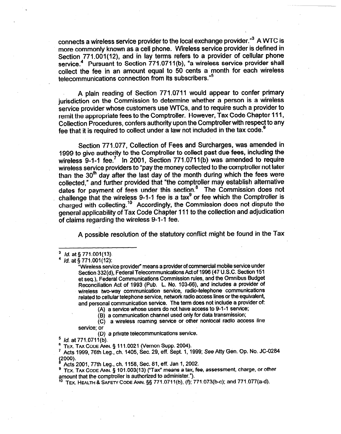connects a wireless service provider to the local exchange provider."3 A WTC is more commonly known as a cell phone. Wireless service provider is defined in Section 771 .001(12), and in lay terms refers to a provider of cellular phone service.<sup>4</sup> Pursuant to Section 771.0711(b), "a wireless service provider shall collect the fee in an amount equal to 50 cents a' month for each wireless telecommunications connection from its subscribers."<sup>5</sup>

A plain reading of Section 771.0711 would appear to confer primary jurisdiction on the Commission to determine whether a person is a wireless service provider whose customers use WTCs, and to require such a provider to remit the appropriate fees to the Comptroller. However, Tax Code Chapter 111, Collection Procedures, confers authority upon the Comptroller with respect to any fee that it is required to collect under a law not included in the tax code.<sup>6</sup>

Section 771.077, Collection of Fees and Surcharges, was amended in 1999 to give authority to the Comptroller to collect past due fees, including the wireless  $9-1-1$  fee.<sup>7</sup> In 2001, Section 771.0711(b) was amended to require wireless service providers to "pay the money collected to the comptroller not later than the  $30<sup>th</sup>$  day after the last day of the month during which the fees were collected," and further provided that "the comptroller may establish alternative dates for payment of fees under this section.<sup>8</sup> The Commission does not challenge that the wireless 9-1-1 fee is a tax $^9$  or fee which the Comptroller is charged with collecting.<sup>10</sup> Accordingly, the Commission does not dispute the general applicability of Tax Code Chapter 111 to the collection and adjudication of claims regarding the wireless 9-l-l fee.

A possible resolution of the statutory conflict might be found in the Tax

- (A) a service whose users do not have access to 9-l-l service;
- (B) a communication channel used only for data transmission;
- (C) a wireless roaming service or other nonlocal radio access line service; or

(D) a private telecommunications service:

*' Id.* at 771,0711(b).

TEX. TAX CODE ANN. § 111.0021 (Vernon Supp. 2004).

7 Acts 1999,76th Leg., ch. 1405, Sec. 29, eff. Sept. 1, 1999; See Atty Gen. Op. No. JC-0264 *~2000).* 

Acts 2001, 77th Leg., ch. 1156, Sec. 61, eff. Jan 1, 2002.

<sup>9</sup> TEX. TAX CODE ANN. § 101.003(13) ("Tax" means a tax, fee, assessment, charge, or other amount that the comptroller is authorized to administer.").

<sup>19</sup> TEX. HEALTH & SAFETY CODE ANN. §§ 771.0711(b), (f); 771.073(b-c); and 771.077(a-d)

*<sup>3</sup> Id.* at *5 771.001(13).* 

*Id.* at § 771.001(12):

<sup>&</sup>quot;Wireless service provider" means a provider of commercial mobile service under Section 332(d), Federal Telecommunications Act of 1996 (47 U.S.C. Section 151 et seq.), Federal Communications Commission rules, and the Omnibus Budget Reconciliation Act of 1993, (Pub. L. No. 103-66), and includes a provider of wireless two-way communication service, radio-telephone communications related to cellular telephone service, network radio access lines or the equivalent, and personal communication service. The term does not include a provider of: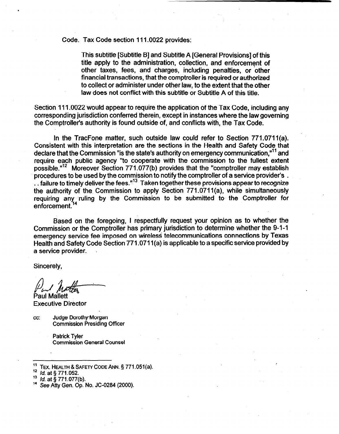Code. Tax Code section 111.0022 provides:

This subtitle [Subtitle B] and Subtitle A [General Provisions] of this title apply to the administration, collection, and enforcement of other taxes, fees, and charges, including penalties, or other financial transactions, that the comptroller is required or authorized to collect or administer under other law, to the extent that the other law does not conflict with this subtitle or Subtitle A of this title.

Section 111.0022 would appear to require the application of the Tax Code, including any corresponding jurisdiction conferred therein, except in instances where the law governing the Comptroller's authority is found outside of, and conflicts with, the Tax Code.

In the TracFone matter, such outside law could refer to Section 771.0711(a). Consistent with this interpretation are the sections in the Health and Safety Code that declare that the Commission "is the state's authority on emergency communication."<sup>11</sup> and require each public agency "to cooperate with the commission to the fullest extent possible."'2 Moreover Section 771.077(b) provides that the "comptroller may establish procedures to be used by the commission to notify the comptroller of a service provider's . .. failure to timely deliver the fees."<sup>13</sup> Taken together these provisions appear to recognize the authority of the Commission to apply Section 771.0711(a), while simultaneously requiring any ruling by the Commission to be submitted to- the Comptroller for enforcement.<sup>1</sup>

Based on the foregoing, I respectfully request your opinion as to whether the Commission or the Comptroller has primary jurisdiction to determine whether the 9-1-1 emergency service fee imposed on wireless telecommunications connections by Texas Health and Safety Code Section 771.0711 (a) is applicable to a specific service provided by a service provider.

Sincerely,

Paul Matter

Paul Mallett Executive Director

cc: Judge Dorothy-Morgan Commission Presiding Officer

> Patrick Tyler Commission General Counsel

- $^{11}$  TEX. HEALTH & SAFETY CODE ANN. § 771.051(a).
- <sup>12</sup> *Id.* at § 771.052.

<sup>&</sup>lt;sup>13</sup> *ld.* at § 771.077(b).

<sup>&</sup>lt;sup>14</sup> See Atty Gen. Op. No. JC-0284 (2000).